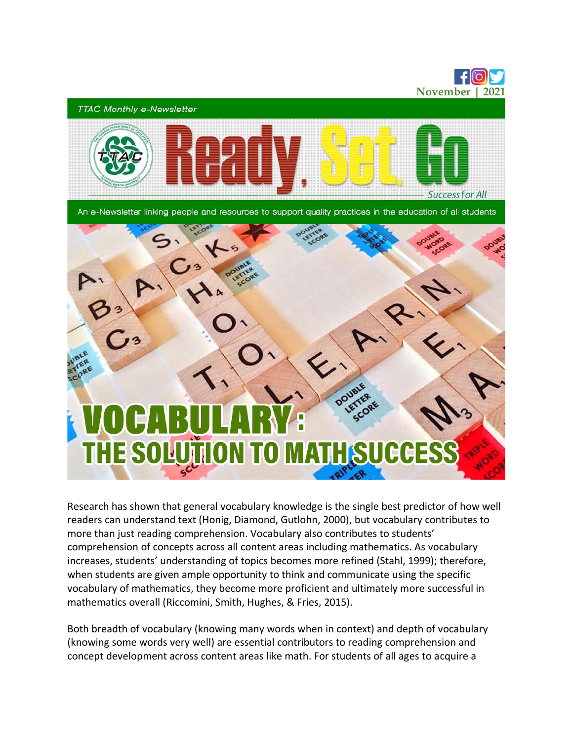

Research has shown that general vocabulary knowledge is the single best predictor of how well readers can understand text (Honig, Diamond, Gutlohn, 2000), but vocabulary contributes to more than just reading comprehension. Vocabulary also contributes to students' comprehension of concepts across all content areas including mathematics. As vocabulary increases, students' understanding of topics becomes more refined (Stahl, 1999); therefore, when students are given ample opportunity to think and communicate using the specific vocabulary of mathematics, they become more proficient and ultimately more successful in mathematics overall (Riccomini, Smith, Hughes, & Fries, 2015).

Both breadth of vocabulary (knowing many words when in context) and depth of vocabulary (knowing some words very well) are essential contributors to reading comprehension and concept development across content areas like math. For students of all ages to acquire a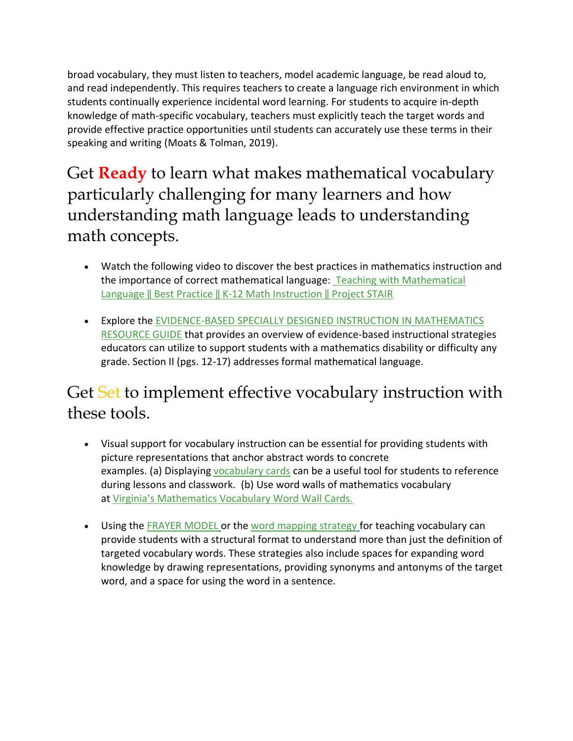broad vocabulary, they must listen to teachers, model academic language, be read aloud to, and read independently. This requires teachers to create a language rich environment in which students continually experience incidental word learning. For students to acquire in-depth knowledge of math-specific vocabulary, teachers must explicitly teach the target words and provide effective practice opportunities until students can accurately use these terms in their speaking and writing (Moats & Tolman, 2019).

Get **Ready** to learn what makes mathematical vocabulary particularly challenging for many learners and how understanding math language leads to understanding math concepts.

- Watch the following video to discover the best practices in mathematics instruction and the importance of correct mathematical language: [Teaching with Mathematical](https://youtu.be/nok68BjPxM4)  [Language ‖ Best Practice ‖ K](https://youtu.be/nok68BjPxM4)-12 Math Instruction ‖ Project STAIR
- Explore the [EVIDENCE-BASED SPECIALLY DESIGNED INSTRUCTION IN](https://www.doe.virginia.gov/special_ed/disabilities/learning_disability/swd-mathematics-resources.pdf) [MATHEMATICS](https://www.doe.virginia.gov/special_ed/disabilities/learning_disability/swd-mathematics-resources.pdf)  [RESOURCE GUIDE](https://www.doe.virginia.gov/special_ed/disabilities/learning_disability/swd-mathematics-resources.pdf) that provides an overview of evidence-based instructional strategies educators can utilize to support students with a mathematics disability or difficulty any grade. Section II (pgs. 12-17) addresses formal mathematical language.

## Get Set to implement effective vocabulary instruction with these tools.

- Visual support for vocabulary instruction can be essential for providing students with picture representations that anchor abstract words to concrete examples. (a) Displaying [vocabulary cards](https://www.graniteschools.org/mathvocabulary/vocabulary-cards/) can be a useful tool for students to reference during lessons and classwork. (b) Use word walls of mathematics vocabulary at [Virginia's Mathematics Vocabulary Word Wall Cards.](https://www.doe.virginia.gov/instruction/mathematics/resources/vocab_cards/index.shtml)
- Using the [FRAYER MODEL](https://www.pattan.net/Videos/Helping-Youth-Learn-Math-Vocabulary-The-Frayer-Mod) or the [word mapping strategy](https://www.readingrockets.org/strategies/word_maps) for teaching vocabulary can provide students with a structural format to understand more than just the definition of targeted vocabulary words. These strategies also include spaces for expanding word knowledge by drawing representations, providing synonyms and antonyms of the target word, and a space for using the word in a sentence.